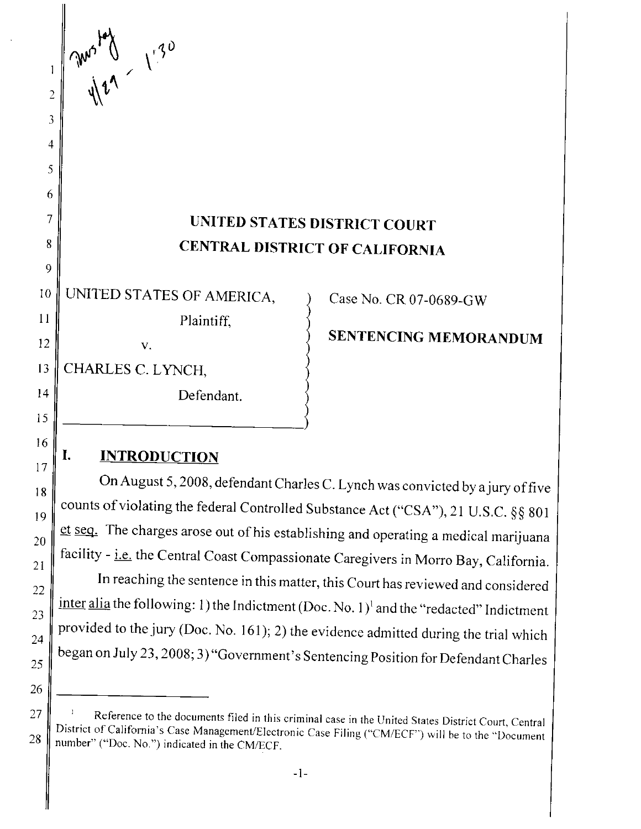# 7 || UNITED STATES DISTRICT COURT 8 CENTRAL DISTRICT OF CALIFORNIA

10 UNITED STATES OF AMERICA,  $\qquad$  ) Case No. CR 07-0689-GW  $\begin{bmatrix} 11 \\ 12 \end{bmatrix}$  Plaintiff,  $\begin{bmatrix} 11 \\ 12 \end{bmatrix}$  **SENTENCING MEMORANDUM** 

13 CHARLES C. LYNCH,

*<u>My</u>* 

2

 $\mathbf{1}$ 

3

4

5

6

9

15

16

17

18

19

20

21

22

23

24

25

26

 $\sqrt[4]{}$ 

 $\sqrt{\frac{1}{2}}$ 

14 Defendant.

## I. **INTRODUCTION**

On August 5, 2008, defendant Charles C. Lynch was convicted by ajury offive counts of violating the federal Controlled Substance Act ("CSA"), 21 U.S.C. §§ 801 et seq. The charges arose out of his establishing and operating a medical marijuana facility - i.e. the Central Coast Compassionate Caregivers in Morro Bay, California.

In reaching the sentence in this matter, this Court has reviewed and considered inter alia the following: 1) the Indictment (Doc. No. 1)<sup>1</sup> and the "redacted" Indictment provided to the jury (Doc. No. 161); 2) the evidence admitted during the trial which began on July 23, 2008; 3) "Government's Sentencing Position for Defendant Charles

 $27 \parallel$ <sup>1</sup> Reference to the documents filed in this criminal case in the United States District Court, Central District of California's Case Management/Electronic Case Filing ("CM/ECF") will be to the "Document 28 mumber" ("Doc. No.") indicated in the CM/ECF.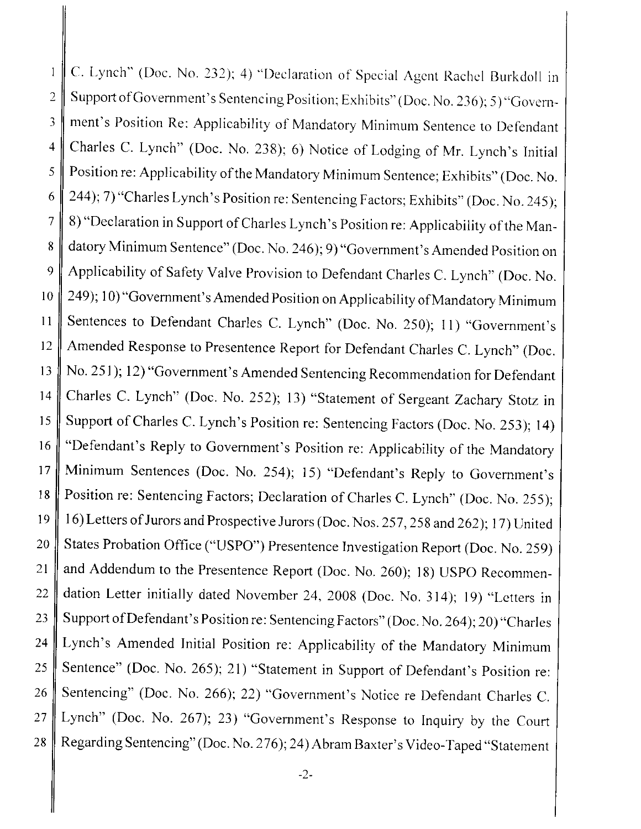C. Lynch" (Doc. No. 232); 4) "Declaration of Special Agent Rachel ßurkdoll in  $\mathbf{1}$ 2 Support of Government's Sentencing Position; Exhibits" (Doc. No. 236); 5) "Govern-3 ment's Position Re: Applicability of Mandatory Minimum Sentence to Defendant 4 Charles C. Lynch" (Doc. No. 238); 6) Notice of Lodging of Mr. Lynch's Initial 5 | Position re: Applicability of the Mandatory Minimum Sentence; Exhibits" (Doc. No. 6 244); 7) "Charles Lynch's Position re: Sentencing Factors; Exhibits" (Doc. No. 245); 7 8) "Declaration in Support of Charles Lynch's Position re: Applicability of the Man-8 datory Minimum Sentence" (Doc. No. 246); 9) "Government's Amended Position on 9 Applicability of Safety Valve Provision to Defendant Charles C. Lynch" (Doc. No. 10 249); 10) "Government's Amended Position on Applicability of Mandatory Minimum 11 Sentences to Defendant Charles C. Lynch" (Doc. No. 250); 11) "Government's 12 Amended Response to Presentence Report for Defendant Charles C. Lynch" (Doc. 13 No. 251); 12) "Government's Amended Sentencing Recommendation for Defendant 14 Charles C. Lynch" (Doc. No. 252); 13) "Statement of Sergeant Zachary Stotz in 15 Support of Charles C. Lynch's Position re: Sentencing Factors (Doc. No. 253); 14) 16 "Defendant's Reply to Government's Position re: Applicability of the Mandatory 17 Minimum Sentences (Doc. No. 254); 15) "Defendant's Reply to Government's 18 | Position re: Sentencing Factors; Declaration of Charles C. Lynch" (Doc. No. 255); 19 | 16) Letters of Jurors and Prospective Jurors (Doc. Nos. 257, 258 and 262); 17) United 20 States Probation Office ("USPO") Presentence Investigation Report (Doc. No. 259) 21  $\parallel$  and Addendum to the Presentence Report (Doc. No. 260); 18) USPO Recommen-22 dation Letter initially dated November 24, 2008 (Doc. No. 314); 19) "Letters in 23 Support of Defendant's Position re: Sentencing Factors" (Doc. No. 264); 20) "Charles 24 Lynch's Amended Initial Position re: Applicability of the Mandatory Minimum 25 Sentence" (Doc. No. 265); 21) "Statement in Support of Defendant's Position re: 26 Sentencing" (Doc. No. 266); 22) "Government's Notice re Defendant Charles C. 27 Lynch" (Doc. No. 267); 23) "Government's Response to Inquiry by the Court 28 Regarding Sentencing" (Doc. No. 276); 24) Abram Baxter's Video-Taped "Statement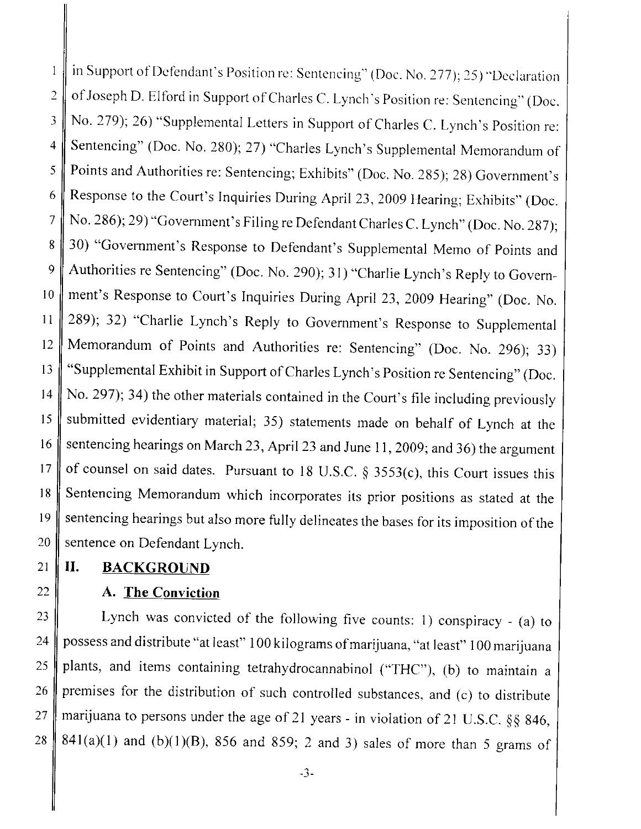in Support of Defendant's Position re: Sentencing" (Doc. No. 277); 25) "Declaration  $\mathbf{1}$ 2  $\parallel$  of Joseph D. Elford in Support of Charles C. Lynch's Position re: Sentencing" (Doc. 3 No. 279); 26) "Supplemental Letters in Support of Charles C. Lynch's Position re: 4 Sentencing" (Doc. No. 280); 27) "Charles Lynch's Supplemental Memorandum of 5 Points and Authorities re: Sentencing; Exhibits" (Doc. No. 285); 28) Government's 6 Response to the Court's Inquiries During April 23, 2009 Hearing; Exhibits" (Doc. 7 No. 286); 29) "Govemment's Filing re Defendant Charles C. Lynch" (Doc. No. 287); 8 30) "Government's Response to Defendant's Supplemental Memo of Points and 9 Authorities re Sentencing" (Doc. No. 290); 31) "Charlie Lynch's Reply to Govern-10 ment's Response to Court's Inquiries During April 23, 2009 Hearing" (Doc. No. 11 289); 32) "Charlie Lynch's Reply to Government's Response to Supplemental 12 Memorandum of Points and Authorities re: Sentencing" (Doc. No. 296); 33) 13 "Supplemental Exhibit in Support of Charles Lynch's Position re Sentencing" (Doc. 14 No. 297); 34) the other materials contained in the Court's file including previously 15 submitted evidentiary material; 35) statements made on behalf of Lynch at the 16 sentencing hearings on March 23, April 23 and June 11, 2009; and 36) the argument 17 of counsel on said dates. Pursuant to 18 U.S.C.  $\S$  3553(c), this Court issues this 18 Sentencing Memorandum which incorporates its prior positions as stated at the 19 sentencing hearings but also more fully delineates the bases for its imposition of the 20 Sentence on Defendant Lynch.

#### 21 | II. BACKGROUND

#### 22  $\parallel$  A. The Conviction

23 | Lynch was convicted of the following five counts: 1) conspiracy - (a) to 24 possess and distribute "at least" 100 kilograms of marijuana, "at least" 100 marijuana 25 plants, and items containing tetrahydrocannabinol ("THC"), (b) to maintain a  $26$  premises for the distribution of such controlled substances, and (c) to distribute 27 marijuana to persons under the age of 21 years - in violation of 21 U.S.C. §§ 846, 28 841(a)(1) and (b)(1)(B), 856 and 859; 2 and 3) sales of more than 5 grams of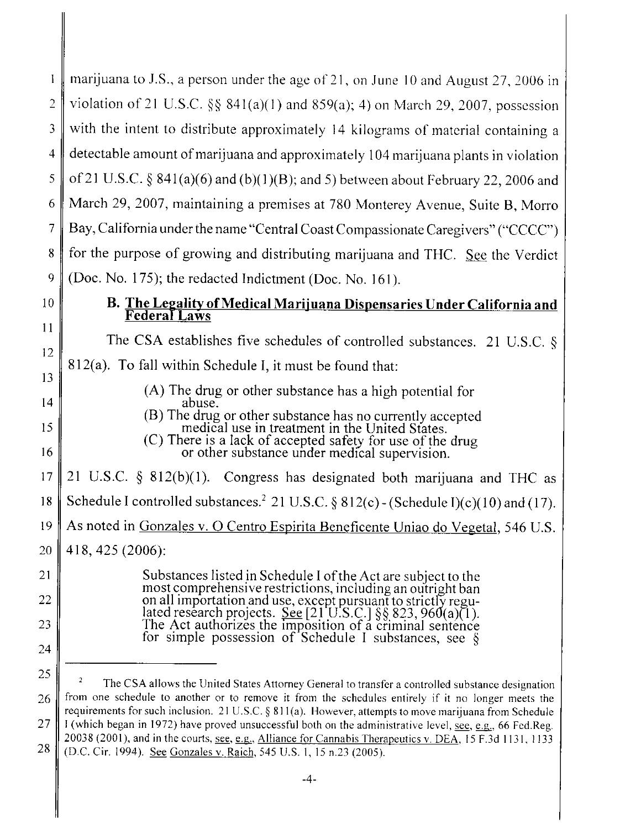|                | marijuana to J.S., a person under the age of 21, on June 10 and August 27, 2006 in                                                                                                                           |
|----------------|--------------------------------------------------------------------------------------------------------------------------------------------------------------------------------------------------------------|
| 2              | violation of 21 U.S.C. §§ 841(a)(1) and 859(a); 4) on March 29, 2007, possession                                                                                                                             |
| 3              | with the intent to distribute approximately 14 kilograms of material containing a                                                                                                                            |
| 4              | detectable amount of marijuana and approximately 104 marijuana plants in violation                                                                                                                           |
| 5              |                                                                                                                                                                                                              |
|                | of 21 U.S.C. § 841(a)(6) and (b)(1)(B); and 5) between about February 22, 2006 and                                                                                                                           |
| 6              | March 29, 2007, maintaining a premises at 780 Monterey Avenue, Suite B, Morro                                                                                                                                |
| 7              | Bay, California under the name "Central Coast Compassionate Caregivers" ("CCCC")                                                                                                                             |
| 8              | for the purpose of growing and distributing marijuana and THC. See the Verdict                                                                                                                               |
| 9              | (Doc. No. 175); the redacted Indictment (Doc. No. 161).                                                                                                                                                      |
| 10             | B. The Legality of Medical Marijuana Dispensaries Under California and                                                                                                                                       |
| 11             | <b>Federal Laws</b>                                                                                                                                                                                          |
| 12             | The CSA establishes five schedules of controlled substances. 21 U.S.C. $\S$                                                                                                                                  |
| 13             | 812(a). To fall within Schedule I, it must be found that:                                                                                                                                                    |
|                | (A) The drug or other substance has a high potential for                                                                                                                                                     |
| 14             | abuse.                                                                                                                                                                                                       |
| 15             | (B) The drug or other substance has no currently accepted<br>medical use in treatment in the United States.<br>(C) There is a lack of accepted safety for use of the drug                                    |
| 16             | or other substance under medical supervision.                                                                                                                                                                |
| 17             | 21 U.S.C. $\S$ 812(b)(1). Congress has designated both marijuana and THC as                                                                                                                                  |
| 18             | Schedule I controlled substances. <sup>2</sup> 21 U.S.C. § 812(c) - (Schedule I)(c)(10) and (17).                                                                                                            |
| $19 \parallel$ | As noted in Gonzales v. O Centro Espirita Beneficente Uniao do Vegetal, 546 U.S.                                                                                                                             |
| 20             | 418, 425 (2006):                                                                                                                                                                                             |
| 21             | Substances listed in Schedule I of the Act are subject to the                                                                                                                                                |
| 22             | most comprehensive restrictions, including an outright ban<br>on all importation and use, except pursuant to strictly regu-                                                                                  |
| 23             | lated research projects. See [21'U.S.C.] $\S$ § 823, 960(a)(1).                                                                                                                                              |
| 24             | The Act authorizes the imposition of a criminal sentence for simple possession of Schedule I substances, see §                                                                                               |
|                |                                                                                                                                                                                                              |
| 25             | The CSA allows the United States Attorney General to transfer a controlled substance designation                                                                                                             |
| 26             | from one schedule to another or to remove it from the schedules entirely if it no longer meets the<br>requirements for such inclusion. 21 U.S.C. § 811(a). However, attempts to move marijuana from Schedule |
| 27             | I (which began in 1972) have proved unsuccessful both on the administrative level, see, e.g., 66 Fed.Reg.                                                                                                    |
| 28             | 20038 (2001), and in the courts, see, e.g., Alliance for Cannabis Therapeutics v. DEA, 15 F.3d 1131, 1133<br>(D.C. Cir. 1994). See Gonzales v. Raich, 545 U.S. 1, 15 n.23 (2005).                            |

-4-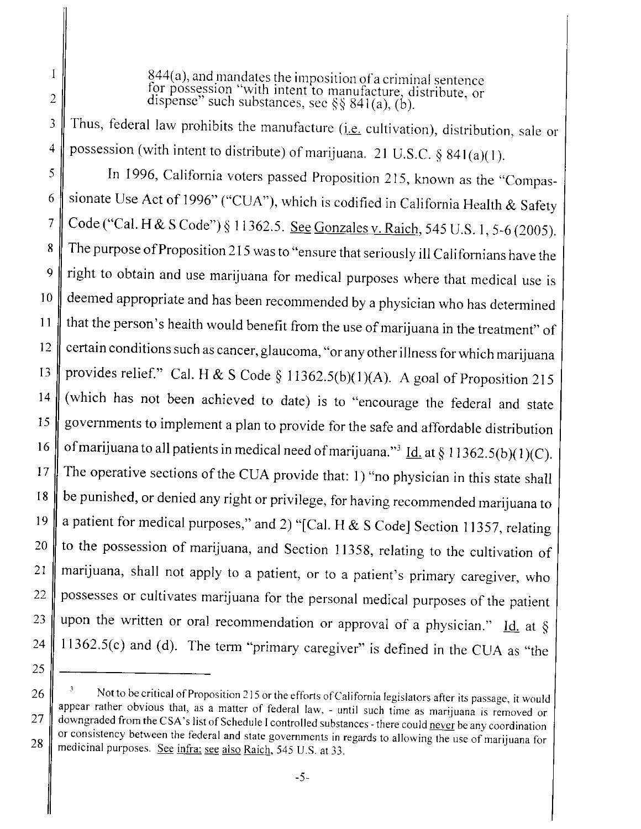$844(a)$ , and mandates the imposition of a criminal sentence for possession "with intent to manufacture, distribute, or dispense" such substances, see  $88,841(a)$  (b).

Thus, federal law prohibits the manufacture (*i.e.* cultivation), distribution, sale or possession (with intent to distribute) of marijuana. 21 U.S.C.  $\S$  841(a)(1). 3 4

In 1996, California voters passed Proposition 215, known as the "Compassionate Use Act of 1996" ("CUA"), which is codified in California Health & Safety Code ("Cal. H & S Code") § 11362.5. See Gonzales v. Raich, 545 U.S. 1, 5-6 (2005). The purpose of Proposition 215 was to "ensure that seriously ill Californians have the right to obtain and use marijuana for medical purposes where that medical use is deemed appropriate and has been recommended by a physician who has determined that the person's health would benefit from the use of marijuana in the treatment" of certain conditions such as cancer, glaucoma, "or any other illness for which marijuana provides relief." Cal. H & S Code § 11362.5(b)(1)(A). A goal of Proposition 215 (which has not been achieved to date) is to "encourage the federal and state governments to implement a plan to provide for the safe and affordable distribution of marijuana to all patients in medical need of marijuana."<sup>3</sup> Id. at § 11362.5(b)(1)(C). The operative sections of the CUA provide that: I) "no physician in this state shall be punished, or denied any right or privilege, for having recommended marijuana to a patient for medical purposes," and 2) "[Cal. H & S Code] Section 11357, relating to the possession of marijuana, and Section 11358, relating to the cultivation of marijuana, shall not apply to a patient, or to a patient's primary caregiver, who possesses or cultivates marijuana for the personal medical purposes of the patient upon the written or oral recommendation or approval of a physician." Id. at  $\S$ 11362.5(c) and (d). The term "primary caregiver" is defined in the CUA as "the 5 6 7 8 9 10 11 12 13 14 15 16 17 18 19 20 21 22 23 24

25

2

 $\mathbf{1}$ 

<sup>26</sup>  $\parallel$  <sup>3</sup> Not to be critical of Proposition 215 or the efforts of California legislators after its passage, it would appear rather obvious that, as a matter of federal law, - until such time as marijuana is removed or 27 downgraded from the CSA's list of Schedule I controlled substances - there could never be any coordination or consistency between the federal and state governments in regards to allowing the use of marijuana for 28 medicinal purposes. See infra: see also Raich, 545 U.S. at 33.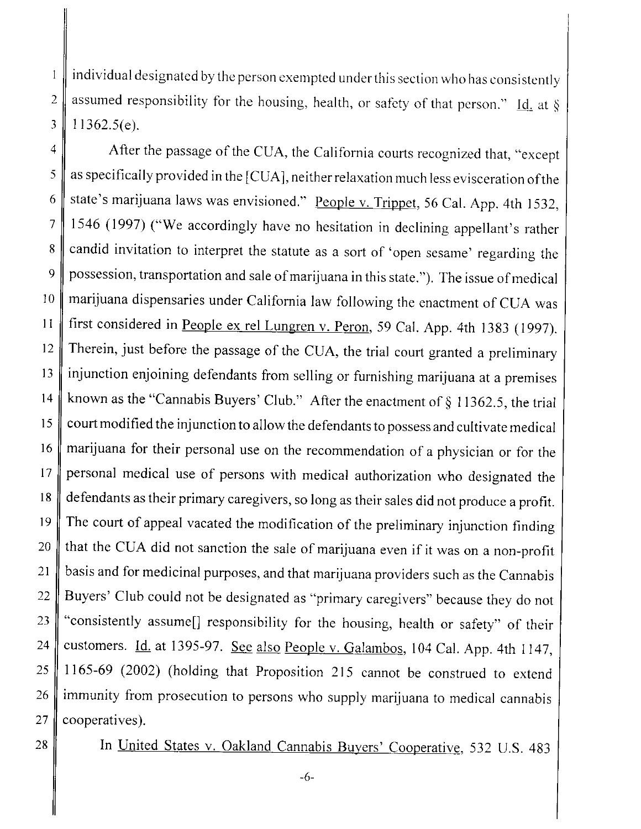individual designated by the person cxempted under this section who has consistently 2 assumed responsibility for the housing, health, or safety of that person." Id. at  $\S$  $3$  | 11362.5(e).

4 After the passage of the CUA, the California courts recognized that, "except"  $5 \parallel$  as specifically provided in the [CUA], neither relaxation much less evisceration of the 6 state's marijuana laws was envisioned." People v. Trippet, 56 Cal. App. 4th 1532, 7 1546 (1997) ("We accordingly have no hesitation in declining appellant's rather 8 candid invitation to interpret the statute as a sort of 'open sesame' regarding the 9 possession, transportation and sale of marijuana in this state."). The issue of medical  $10$  marijuana dispensaries under California law following the enactment of CUA was 11  $\parallel$  first considered in <u>People ex rel Lungren v. Peron</u>, 59 Cal. App. 4th 1383 (1997). 12 Therein, just before the passage of the CUA, the trial court granted a preliminary  $13$  injunction enjoining defendants from selling or furnishing marijuana at a premises 14 known as the "Cannabis Buyers' Club." After the enactment of  $\S$  11362.5, the trial 15  $\parallel$  court modified the injunction to allow the defendants to possess and cultivate medical 16 marijuana for their personal use on the recommendation of a physician or for the 17 personal medical use of persons with medical authorization who designated the 18 defendants as their primary caregivers, so long as their sales did not produce a profit.  $19$  The court of appeal vacated the modification of the preliminary injunction finding 20  $\parallel$  that the CUA did not sanction the sale of marijuana even if it was on a non-profit 21 basis and for medicinal purposes, and that marijuana providers such as the Cannabis 22 Buyers' Club could not be designated as "primary caregivers" because they do not 23  $\parallel$  "consistently assume<sup>[]</sup> responsibility for the housing, health or safety" of their 24 customers. *Id.* at 1395-97. See also People v. Galambos, 104 Cal. App. 4th 1147, 25 | 1165-69 (2002) (holding that Proposition 215 cannot be construed to extend  $26$  immunity from prosecution to persons who supply marijuana to medical cannabis  $27$  cooperatives).

 $\bf{l}$ 

28 In United States v. Oakland Cannabis Buyers' Cooperative, 532 U.S. 483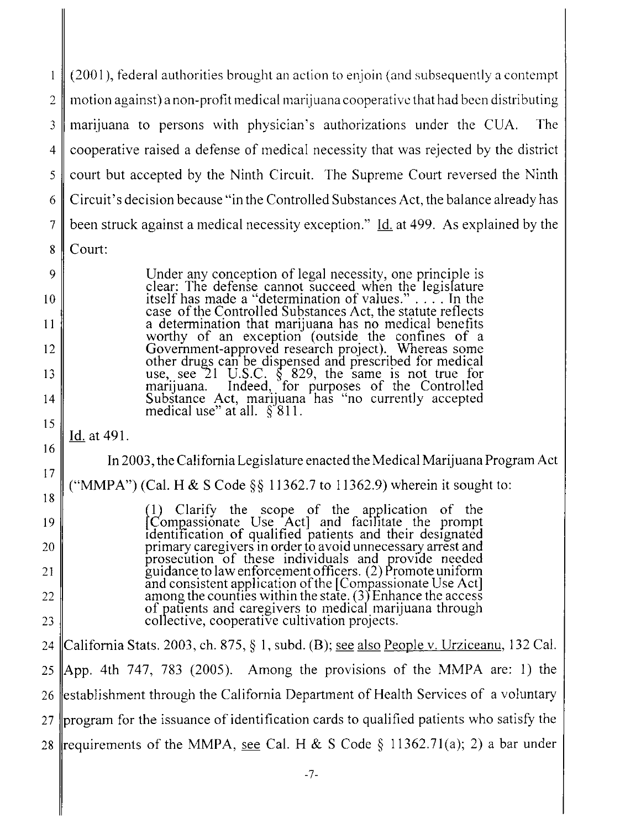(200 I), federal authorities brought an action to enjoin (and subsequently a contempt  $\mathbf{1}$ 2 motion against) a non-profit medical marijuana cooperative that had been distributing 3 marijuana to persons with physician's authorizations undcr the CUA. The 4 cooperative raised a defense of medical necessity that was rejected by the district 5 court but accepted by the Ninth Circuit. The Supreme Court reversed the Ninth 6 Circuit's decision because "in the Controlled Substances Act, the balance already has 7 been struck against a medical necessity exception." Id. at 499. As explained by the 8 Court:

> Under any conception of legal necessity, one principle is clear: The defense cannot succeed wnen the legislature itself has made a "determination of values." . . . . In the case of the Controlled Substances Act, the statute reflects a determination that marijuana has no medical benefits worthy of an exception (outside the confines of a Government-approved research project). Whereas some other drugs can be dispensed and prescribed for medical use, see  $21$  U.S.C.  $\frac{8}{3}$  829, the same is not true for marijuana. Indeed,' for purposes of the Controlled Substance Act, marijuana has "no currently accepted medical use" at all.  $\S$ 811.

Id. at 491.

17

9

10

11

12

13

 $14$ 

15

16

18

19

20

21

22

23

In 2003, the California Legislature enacted the Medical Marijuana Program Act

("MMPA") (Cal. H & S Code  $\S$  11362.7 to 11362.9) wherein it sought to:

(I) Clarify the scope of the application of the L Compassionate Use Act) and facilitate the prompt identilícation of qualified patients and their designated primary caregivers in order to avoid unnecessary arrest and prosecution of these individuals and provide needed guidance to law enforcement officers. (2) Promote uniform and consistent application of the (Compassionate Use Act) among the counties within the state. (31 Enhance the access of patients and caregivers to medical marijuana through collective, cooperative cultivation projects.

24 || California Stats. 2003, ch. 875,  $\S$  1, subd. (B); see also People v. Urziceanu, 132 Cal. 25 App. 4th 747, 783 (2005). Among the provisions of the MMPA are: 1) the 26 establishment through the California Department of Health Services of a voluntary 27 program for the issuance of identification cards to qualified patients who satisfy the 28 requirements of the MMPA, see Cal. H & S Code  $\S$  11362.71(a); 2) a bar under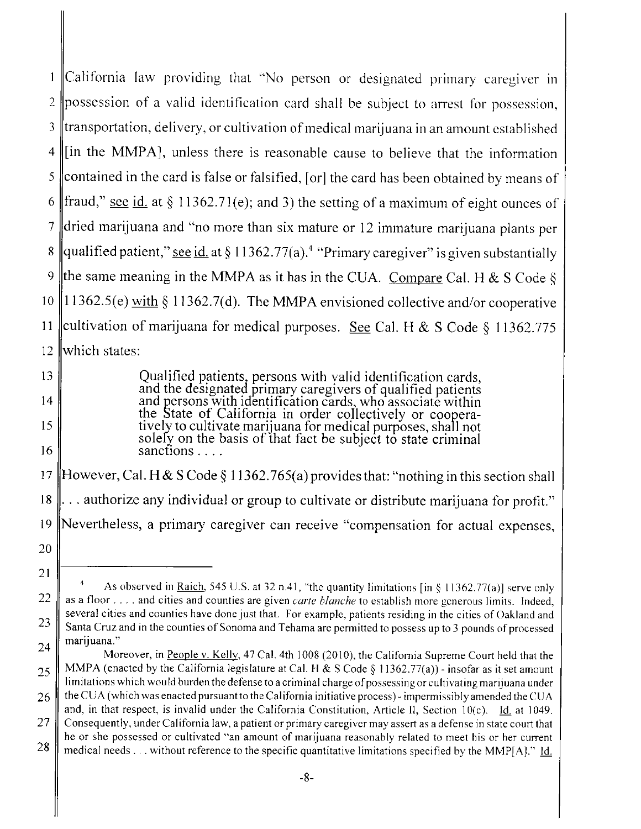California law providing that "No person or designated primary caregiver in  $\mathbf{1}$ 2 possession of a valid identification card shall be subject to arrest for possession,  $3$   $\parallel$ transportation, delivery, or cultivation of medical marijuana in an amount established  $4$  (in the MMPA), unless there is reasonable cause to believe that the information 5 contained in the card is false or falsified, [or] the card has been obtained by means of 6 fraud," see id. at § 11362.71(e); and 3) the setting of a maximum of eight ounces of 7 dried marijuana and "no more than six mature or 12 immature marijuana plants per 8 qualified patient," see id. at § 11362.77(a).<sup>4</sup> "Primary caregiver" is given substantially 9 the same meaning in the MMPA as it has in the CUA. Compare Cal. H & S Code § 10 ||11362.5(e) with § 11362.7(d). The MMPA envisioned collective and/or cooperative 11 ||cultivation of marijuana for medical purposes. See Cal. H & S Code § 11362.775 12 which states:

> Qualified patients, persons with valid identification cards,<br>and the designated primary caregivers of qualified patients and persons with identification cards, who associate within the State of California in order collectively or cooperatively to cultivate marijuana for medical purposes, shall not solely on the basis of that fact be subject to state criminal sanctions. . . .

13

14

15

16

20

21

17 However, Cal. H & S Code § 11362.765(a) provides that: "nothing in this section shall 18  $\|$ ... authorize any individual or group to cultivate or distribute marijuana for profit." 19 Nevertheless, a primary caregiver can receive "compensation for actual expenses,

<sup>22</sup> 23 As observed in Raich, 545 U.S. at 32 n.41, "the quantity limitations [in  $\S 11362.77(a)$ ] serve only as a floor.... and cities and counties are given *carte blanche* to establish more generous limits. Indeed, several cities and counties have done just that. For example, patients residing in the cities of Oakland and Santa Cruz and in the counties of Sonoma and Tehama arc permitted to possess up to 3 pounds of processed marijuana." 24

Moreover, in People v. Kelly, 47 Cal. 4th 1008 (2010), the California Supreme Court held that the MMPA (enacted by the California legislature at Cal. H & S Code § 11362.77(a)) - insofar as it set amount limitations which would burden the defense to a criminal charge of possessing or cultivating marijuana under the CUA (which was enacted pursuant to the California initiative process)- impermissibly amended the CUA and, in that respect, is invalid under the California Constitution, Article II, Section  $10(c)$ . Id. at 1049. Consequently, under California law, a patient or primary caregiver may assert as a defense in state court that he or she possessed or cultivated "an amount of marijuana reasonably related to meet his or her current medical needs... without reference to the specific quantitative limitations specified by the MMP $[A]$ ." Id. 25 26 27 28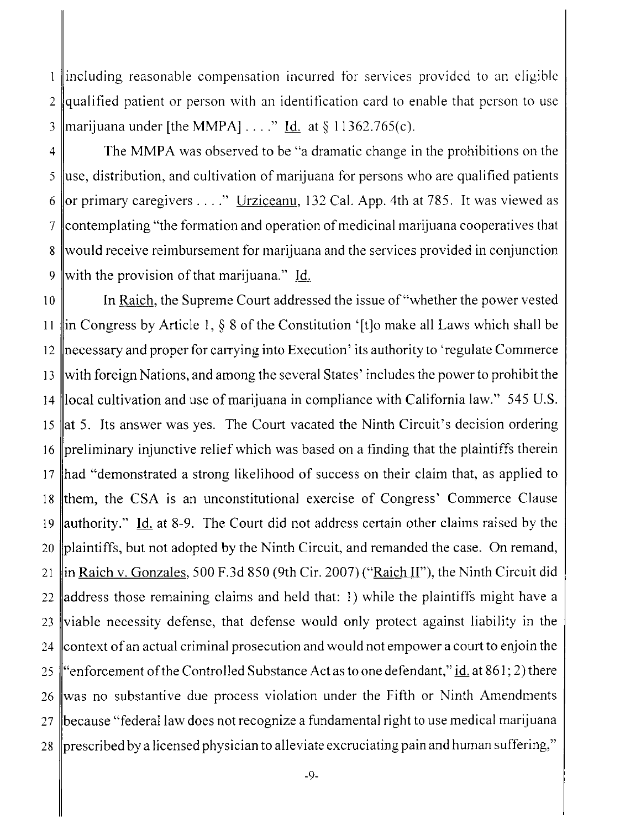1 lincluding reasonable compensation incurred for services provided to an eligible 2 gualified patient or person with an identification card to enable that person to use 3 || marijuana under [the MMPA]...." Id. at  $\S 11362.765(c)$ .

 $4 \parallel$  The MMPA was observed to be "a dramatic change in the prohibitions on the 5 luse, distribution, and cultivation of marijuana for persons who are qualified patients 6 or primary caregivers . . . ." Urziceanu, 132 Cal. App. 4th at 785. It was viewed as 7 contemplating "the formation and operation of medicinal marijuana cooperatives that 8 would receive reimbursement for marijuana and the services provided in conjunction 9 with the provision of that marijuana." Id.

10 In Raich, the Supreme Court addressed the issue of "whether the power vested 11  $\|$ in Congress by Article 1, § 8 of the Constitution '[t]o make all Laws which shall be 12 necessary and proper for carrying into Execution' its authority to 'regulate Commerce 13 with foreign Nations, and among the several States' includes the power to prohibit the 14 local cultivation and use of marijuana in compliance with California law." 545 U.S. 15  $\|$ at 5. Its answer was yes. The Court vacated the Ninth Circuit's decision ordering 16 preliminary injunctive relief which was based on a finding that the plaintiffs therein 17 had "demonstrated a strong likelihood of success on their claim that, as applied to 18 them, the CSA is an unconstitutional exercise of Congress' Commerce Clause 19 authority." Id. at 8-9. The Court did not address certain other claims raised by the 20  $\|$ plaintiffs, but not adopted by the Ninth Circuit, and remanded the case. On remand, 21  $\|$ in Raich v. Gonzales, 500 F.3d 850 (9th Cir. 2007) ("Raich II"), the Ninth Circuit did 22 address those remaining claims and held that: 1) while the plaintiffs might have a  $23$  viable necessity defense, that defense would only protect against liability in the 24 context of an actual criminal prosecution and would not empower a court to enjoin the 25 "enforcement of the Controlled Substance Act as to one defendant," id. at 861; 2) there 26 was no substantive due process violation under the Fifth or Ninth Amendments 27 because "federal law does not recognize a fundamental right to use medical marijuana 28  $\parallel$  prescribed by a licensed physician to alleviate excruciating pain and human suffering,"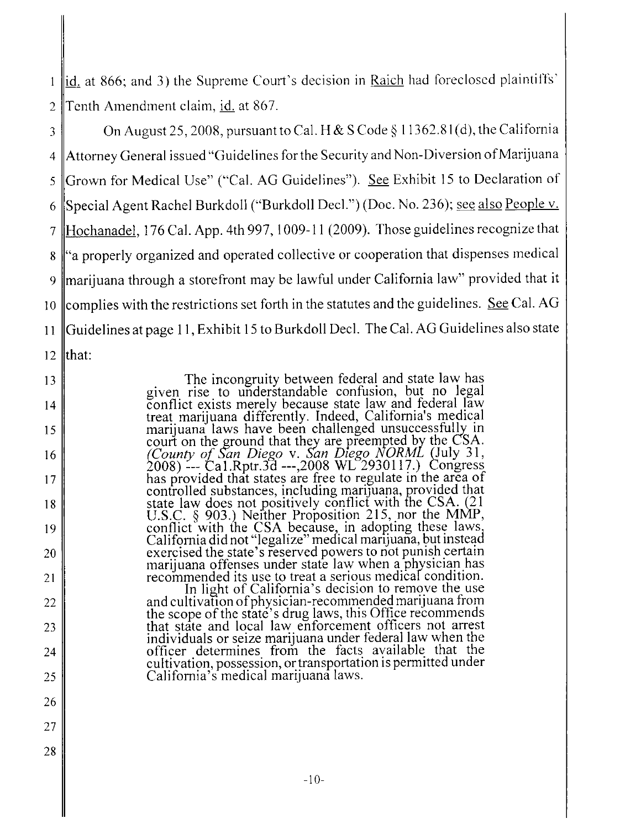lid. at 866; and 3) the Supreme Court's decision in Raich had foreclosed plaintiffs'  $\mathbf{1}$ 2 Tenth Amendment claim, id. at 867.

3 On August 25, 2008, pursuant to Cal. H & S Code § 11362.81(d), the California 4 Attorney General issued "Guidelines for the Security and Non-Diversion of Marijuana 5 Grown for Medical Use" ("Cal. AG Guidelines"). See Exhibit 15 to Declaration of 6 Special Agent Rachel Burkdoll ("Burkdoll Decl.") (Doc. No. 236); see also People v. 7 Hochanadel, 176 Cal. App. 4th 997, 1009-11 (2009). Those guidelines recognize that 8 "a properly organized and operated collective or cooperation that dispenses medical 9 marijuana through a storefront may be lawful under California law" provided that it 10 complies with the restrictions set forth in the statutes and the guidelines. See Cal. AG 11 |Guidelines at page 11, Exhibit 15 to Burkdoll Decl. The Cal. AG Guidelines also state 12  $\|$ that:

> The incongruity between federal and state law has given rise to understandable confusion, but no legal conflict exists merely because state law and federal law treat marijuana differently. Indeed, Califomia's medical marijuana laws have been challenged unsuccessfully in court on the ground that they are preempted by the CSA. (County of San Diego v. San Diego NORML (July 31, 2008) --- Ca1.Rptr.3d --,2008 WL 2930117.) Congress has provided that states are free to regulate in the area of controlled substances, including marijuana, provided that state law does not positively conflict with the CSA. (21 U.S.C. § 903.) Neither Proposition 215, nor the MMP, conflict with the CSA because, in adopting these laws California did not "legalize" medical marijuana, but instead exercised the state's reserved powers to not punish certain marijuana offenses under state law when a physician has recommended its use to treat a serious medical condition.

In light of California's decision to remove the use and cultivation of physician-recommended marijuana from the scope of the state's drug laws, this Office recommends that state and local law enforcement officers not arrest individuals or seize marijuana under federal law when the officer determines from the facts available that the cultivation, possession, or transportation is permitted under California's medical marijuana laws.

15

16

17

18

19

20

21

22

23

24

25

26

14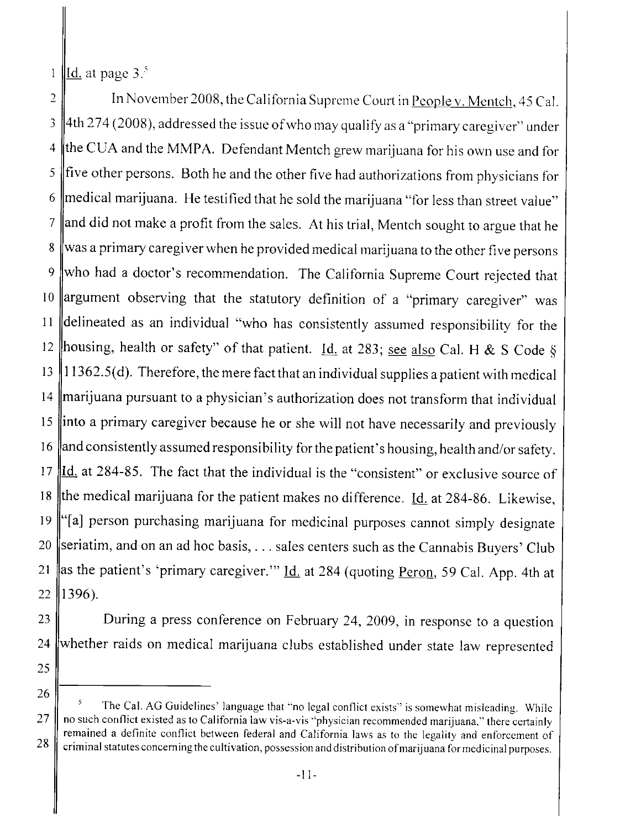Id. at page  $3<sup>5</sup>$  $\mathbf{1}$ 

2 || In November 2008, the California Supreme Court in People v. Mentch, 45 Cal.  $3 \parallel 4$ th 274 (2008), addressed the issue of who may qualify as a "primary caregiver" under  $4 \parallel$ the CUA and the MMPA. Defendant Mentch grew marijuana for his own use and for  $5 \parallel$  five other persons. Both he and the other five had authorizations from physicians for 6 medical marijuana. He testified that he sold the marijuana "for less than street value"  $7 \parallel$  and did not make a profit from the sales. At his trial, Mentch sought to argue that he 8 was a primary caregiver when he provided medical marijuana to the other five persons 9 who had a doctor's recommendation. The California Supreme Court rejected that 10 argument observing that the statutory definition of a "primary caregiver" was 11 delineated as an individual "who has consistently assumed responsibility for the 12 housing, health or safety" of that patient. Id. at 283; see also Cal. H & S Code § 13 || $11362.5(d)$ . Therefore, the mere fact that an individual supplies a patient with medical 14 marijuana pursuant to a physician's authorization does not transform that individual 15 into a primary caregiver because he or she will not have necessarily and previously 16  $\parallel$  and consistently assumed responsibility for the patient's housing, health and/or safety. 17  $\text{Id}$  at 284-85. The fact that the individual is the "consistent" or exclusive source of 18 the medical marijuana for the patient makes no difference. Id. at 284-86. Likewise, 19  $\lVert$ "[a] person purchasing marijuana for medicinal purposes cannot simply designate 20 seriatim, and on an ad hoc basis,  $\dots$  sales centers such as the Cannabis Buyers' Club 21 as the patient's 'primary caregiver.'" Id. at 284 (quoting Peron, 59 Cal. App. 4th at  $22$  ||1396).

23 During a press conference on February 24, 2009, in response to a question 24 whether raids on medical marijuana clubs established under state law represented

- 25
- 26

The Cal. AG Guidelines' language that "no legal eonfliet exists" is somewhat misleading. While  $27 \parallel$  no such conflict existed as to California law vis-a-vis "physician recommended marijuana," there certainly remained a definite conflict between federal and California laws as to the legality and enforcement of 28 criminal statutes concerning the cultivation, possession and distribution of marijuana for medicinal purposes.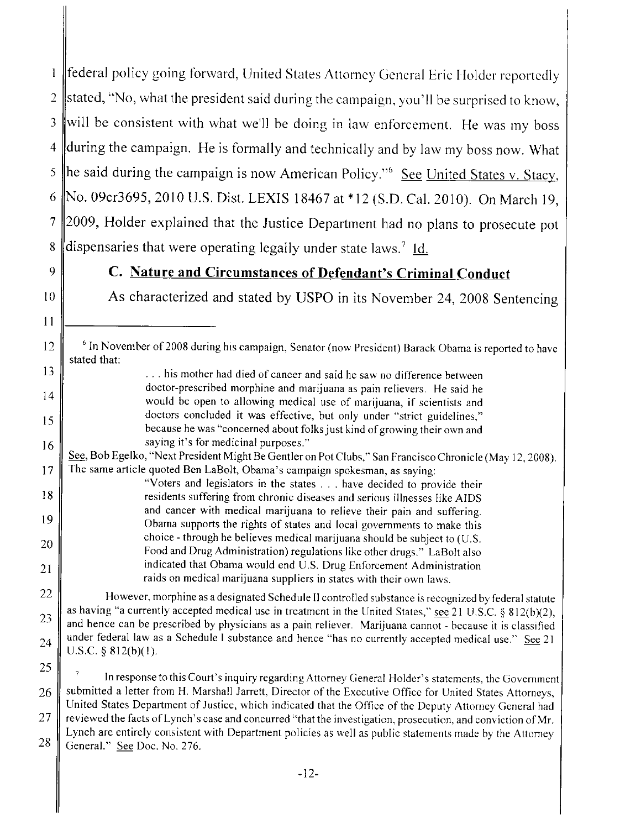federal policy going forward, United States Attorney Gencral Eric Holder reportedly  $\mathbf{I}$ 2 stated, "No, what the president said during the campaign, you'll be surprised to know, 3 will be consistent with what we'll be doing in law enforcement. He was my boss  $4$  during the campaign. He is formally and technically and by law my boss now. What 5 he said during the campaign is now American Policy."<sup>6</sup> See United States v. Stacy, 6 No. 09cr3695, 2010 U.S. Dist. LEXIS 18467 at \*12 (S.D. Cal. 2010). On March 19, 7 2009, Holder explained that the Justice Department had no plans to prosecute pot 8 dispensaries that were operating legally under state laws.<sup>7</sup> Id.

11

14

15

16

22

23

24

## 9 C. Nature and Circumstances of Defendant's Criminal Conduct

10 As characterized and stated by USPO in its November 24, 2008 Sentencing

- 12 F <sup>6</sup> In November of 2008 during his campaign, Senator (now President) Barack Obama is reported to have stated that:
- 13  $\parallel$  ... his mother had died of cancer and said he saw no difference between doctor-prescribed morphine and marijuana as pain relievers. He said he would be open to allowing medical use of marijuana, if scientists and doctors concluded it was effective, but only under "strict guidelines," because he was "concerned about folks just kind of growing their own and saying it's for medicinal purposes."

See, Bob Egelko, "Next President Might Be Gentler on Pot Clubs," San Francisco Chronicle (May 12, 2008). The same article quoted Ben LaBolt, Obama's campaign spokesman, as saying: 17

"V oters and legislators in the states. . . have decided to provide their residents suffering from chronic diseases and serious illnesses like AIDS and cancer with medical marijuana to relieve their pain and suffering. Obama supports the rights of states and local governments to make this choice - through he believes medical marijuana should be subject to (U.S. Food and Drug Administration) regulations like other drugs." LaBolt also indicated that Obama would end U.S. Drug Enforcement Administration raids on medical marijuana suppliers in states with their own laws. 18 19 20 21

However. morphine as a designated Schedule II controlled substance is recognized by federal statute as having "a currently accepted medical use in treatment in the United States," see 21 U.S.C. § 812(b)(2), and hence can be prescribed by physicians as a pain reliever. Marijuana cannot - because it is classified under federal law as a Schedule I substance and hence "has no currently accepted medical use." See 21 U.S.C.  $§ 812(b)(1)$ .

25 26 In response to this Court's inquiry regarding Attorney General Holder's statements, the Government submitted a letter from H. Marshall Jarrett, Director of the Exccutive Office for United States Attorneys, United States Department of Justice, which indicated that the Office of the Deputy Attorney General had reviewed the facts of Lynch's case and concurred "that the investigation, prosecution, and conviction of Mr. Lynch are entirely consistent with Department policies as well as public statements made by the Attorney GeneraL" See Doc. No. 276. 27 28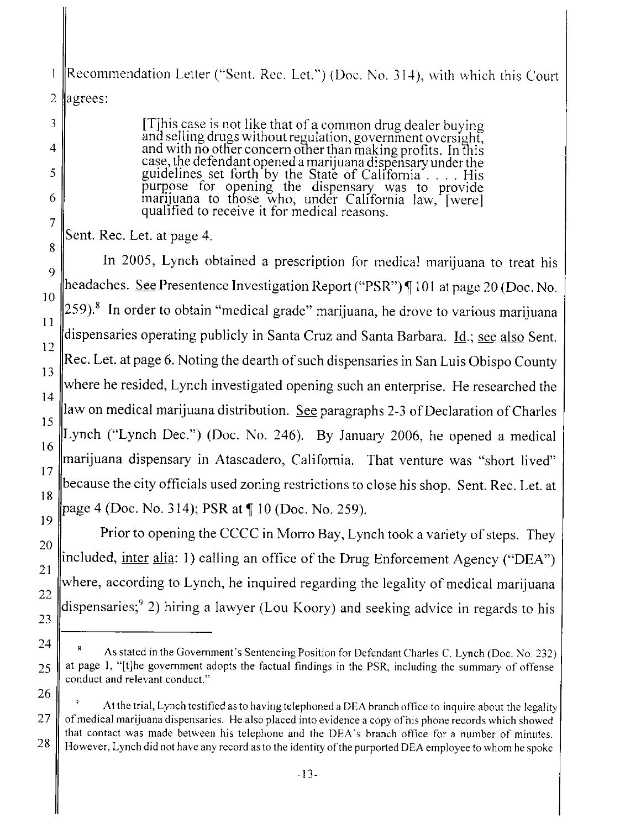Recommendation Letter ("Sent. Rec. Let.") (Doc. No. 314), with which this Court 1 2  $|$ agrees:

> (T)his case is not like that of a common drug dealer buying ana selling drugs without regulation, government oversight, and with no other concern other than making profits. In this case, the defendant opened a marijuana dispensary under the guidelines set forth by the State of Califomia . . . . His purpose for opening the dispensary was to provide marijuana to those who, under California law, (were) qualified to receive it for medical reasons.

Sent. Rec. Let. at page 4.

3

4

5

6

7

20

21

22

23

24

25

26

In 2005, Lynch obtained a prescription for medical marijuana to treat his headaches. See Presentence Investigation Report ("PSR") | 101 at page 20 (Doc. No.  $259$ .<sup>8</sup> In order to obtain "medical grade" marijuana, he drove to various marijuana dispensaries operating publicly in Santa Cruz and Santa Barbara. Id.; see also Sent. Rec. Let. at page 6. Noting the dearth of such dispensaries in San Luis Obispo County 8 9 10 11 12 13 where he resided, Lynch investigated opening such an enterprise. He researched the 14 law on medical marijuana distribution. See paragraphs 2-3 of Declaration of Charles 15 16 17 18 Lynch ("Lynch Dec.") (Doc. No. 246). By January 2006, he opened a medical marijuana dispensary in Atascadero, California. That venture was "short lived" because the city officials used zoning restrictions to close his shop. Sent. Rec. Let. at page 4 (Doc. No. 314); PSR at  $\P$  10 (Doc. No. 259). 19

Prior to opening the CCCC in Morro Bay, Lynch took a variety of steps. They included, inter alia: 1) calling an office of the Drug Enforcement Agency ("DEA") where, according to Lynch, he inquired regarding the legality of medical marijuana dispensaries;9 2) hiring a lawyer (Lou Koory) and seeking advice in regards to his

As stated in the Government's Sentencing Position for Defendant Charles C. Lynch (Doc. No. 232) at page I, "(tJhe government adopts the factual findings in the PSR, including the summary of offense conduct and relevant conduct."

<sup>9</sup> At the trial, Lynch testified as to having telephoned a DEA branch office to inquire about the legality  $27 \parallel$  of medical marijuana dispensaries. He also placed into evidence a copy of his phone records which showed that contact was made between his telephone and the DEA's branch office for a number of minutes. 28 However, Lynch did not have any record as to the identity of the purported DEA employee to whom he spoke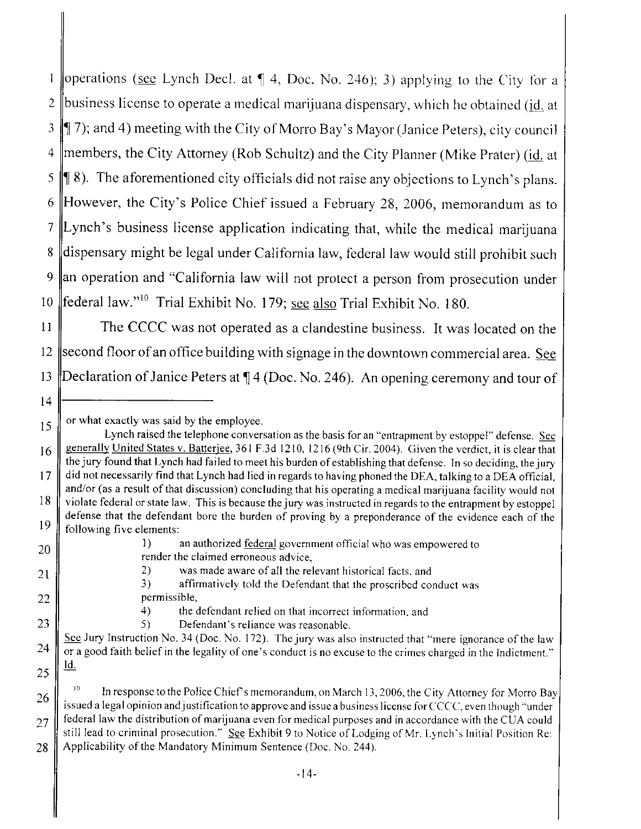| operations (see Lynch Decl. at  $\P$  4, Doc. No. 246); 3) applying to the City for a  $\mathbf{1}$ 2 business license to operate a medical marijuana dispensary, which he obtained ( $\underline{\mathbf{id}}$  at  $3 \parallel$  7); and 4) meeting with the City of Morro Bay's Mayor (Janice Peters), city council 4 | members, the City Attorney (Rob Schultz) and the City Planner (Mike Prater) (id. at 5  $\parallel$  8). The aforementioned city officials did not raise any objections to Lynch's plans. 6 However, the City's Police Chief issued a February 28, 2006, memorandum as to 7 Lynch's business license application indicating that, while the medical marijuana 8 dispensary might be legal under California law, federal law would still prohibit such 9 an operation and "California law will not protect a person from prosecution under 10  $\parallel$  federal law."<sup>10</sup> Trial Exhibit No. 179; see also Trial Exhibit No. 180.

11 The CCCC was not operated as a clandestine business. It was located on the 12 second floor of an office building with signage in the downtown commercial area. See 13 Declaration of Janice Peters at  $\P$  4 (Doc. No. 246). An opening ceremony and tour of

22

23

24

25

26

27

28

1) an authorized federal govcrnment official who was empowered to render the claimed erroneous advice,

2) was made aware of all the relevant historical facts, and

3) affirmatively told the Defendant that the proscribcd conduct was permissible,

4) the defendant relied on that incorreet information. and

5) Defendant's reliance was reasonable.

See Jury Instruction No. 34 (Doc. No. 172). The jury was also instructed that "mere ignorance of the law or a good faith belief in the legality of one's conduct is no excuse to the crimes chargcd in the Indictment." ld.

In response to the Police Chief's memorandum, on March 13, 2006, the City Attorney for Morro Bay issued a legal opinion and justification to approve and issue a business license for CCCC, even though "under federal law the distribution of marijuana even for medical purposes and in accordance with the CUA eould still lead to criminal prosecution." See Exhibit 9 to Notice of Lodging of Mr. Lynch's Initial Position Re: Applicability of the Mandatory Minimum Sentence (Doe. No. 244).

<sup>14</sup>

or what exactly was said by the employee.

<sup>15</sup> 16 Lynch raised the telephone conversation as the basis for an "entrapment by estoppel" defense. See generally United States v. Batterjee, 361 F.3d 1210, 1216 (9th Cir. 2004). Given the verdict, it is clear that the jury found that Lynch had failed to meet his burden of establishing that defense. In so deciding, the jury did not necessarily find that Lynch had lied in regards to having phoned the DEA, talking to a DEA official, and/or (as a result of that discussion) concluding that his operating a medical marijuana facility would not violate federal or state law. This is because the jury was instructed in regards to the entrapment by estoppel defense that the defendant bore the burden of proving by a preponderance of the evidence each of the following five elements: 17 18 19

<sup>20</sup> 21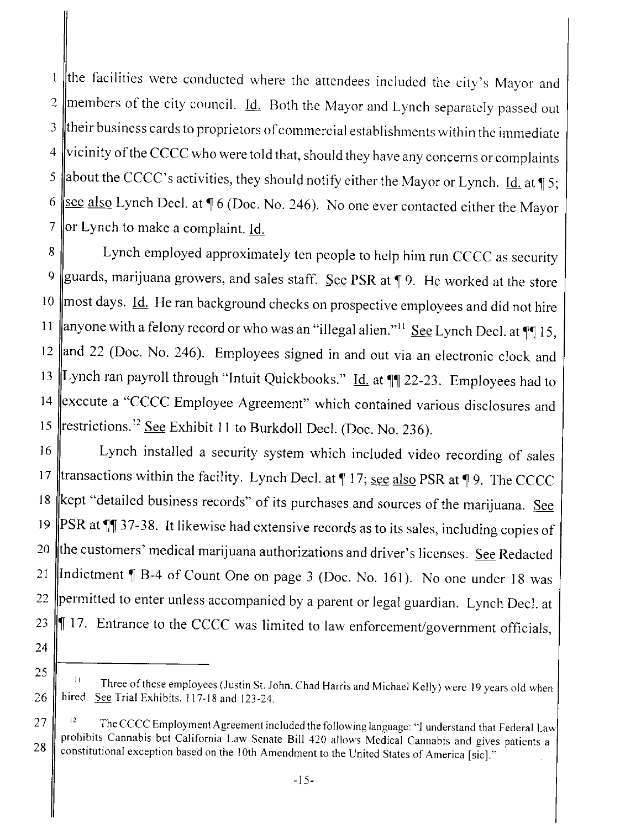the tàcilities were conducted where the attendees included the city's Mayor and  $\mathbf{1}$ 2 members of the city council.  $\underline{Id}$ . Both the Mayor and Lynch separately passed out  $3 \parallel$  their business cards to proprietors of commercial establishments within the immediate  $4$  vicinity of the CCCC who were told that, should they have any concerns or complaints 5 about the CCCC's activities, they should notify either the Mayor or Lynch. Id. at  $\frac{1}{3}$  5; 6 <u>see also</u> Lynch Decl. at  $\sqrt{\frac{6}{16}}$  (Doc. No. 246). No one ever contacted either the Mayor 7 ||or Lynch to make a complaint. Id.

8 Lynch employed approximately ten people to help him run CCCC as security 9 guards, marijuana growers, and sales staff. See PSR at  $\parallel$  9. He worked at the store 10 most days. *Id.* He ran background checks on prospective employees and did not hire 11 | anyone with a felony record or who was an "illegal alien."<sup>11</sup> See Lynch Decl. at  $\P$  15, 12  $\parallel$  and 22 (Doc. No. 246). Employees signed in and out via an electronic clock and 13 Lynch ran payroll through "Intuit Quickbooks." Id. at  $\P$  22-23. Employees had to 14 execute a "CCCC Employee Agreement" which contained various disclosures and 15  $\parallel$  restrictions.<sup>12</sup> See Exhibit 11 to Burkdoll Decl. (Doc. No. 236).

16 | Lynch installed a security system which included video recording of sales 17 transactions within the facility. Lynch Decl. at  $\P$  17; see also PSR at  $\P$  9. The CCCC 18 kept "detailed business records" of its purchases and sources of the marijuana. See 19  $\|PSR \text{ at } \P \|$  37-38. It likewise had extensive records as to its sales, including copies of 20  $\|$ the customers' medical marijuana authorizations and driver's licenses. See Redacted 21 Indictment  $\P$  B-4 of Count One on page 3 (Doc. No. 161). No one under 18 was 22 permitted to enter unless accompanied by a parent or legal guardian. Lynch Decl. at 23  $\parallel$  17. Entrance to the CCCC was limited to law enforcement/government officials,

24

25

Three of these employees (Justin St. John, Chad Harris and Michael Kelly) were 19 years old when hired. See Trial Exhibits. 117-18 and 123-24.

 $27 \parallel$ <sup>12</sup> The CCCC Employment Agreement included the following language: "I understand that Federal Law prohibits Cannabis but California Law Senate Bill 420 allows Medical Cannabis and gives patients a 28 constitutional exception based on the 10th Amendment to the United States of America [sic]."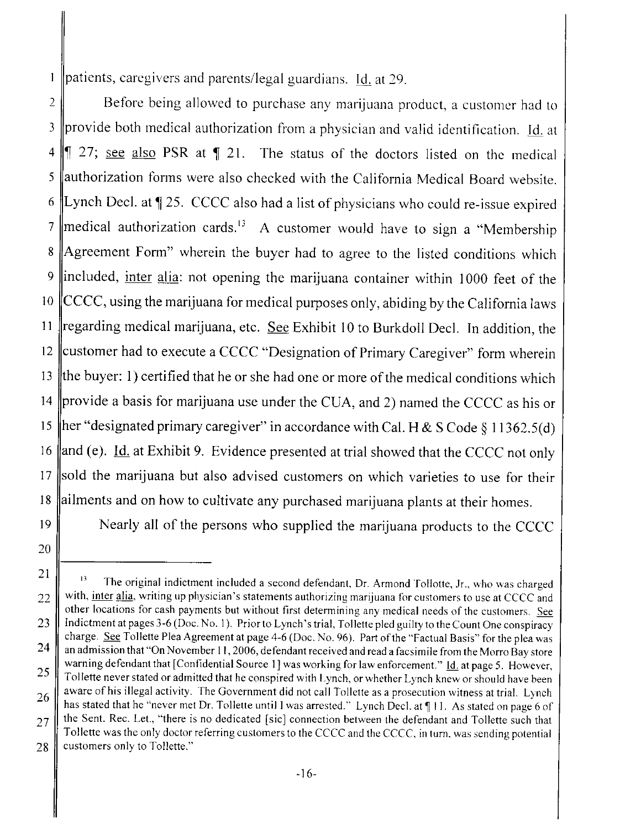patients, caregivers and parents/legal guardians. Id. at 29.  $\mathbf{1}$ 

2 **Before being allowed to purchase any marijuana product**, a customer had to 3 provide both medical authorization from a physician and valid identification. Id. at  $4 \parallel 27$ ; see also PSR at  $\parallel 21$ . The status of the doctors listed on the medical  $5$  authorization forms were also checked with the California Medical Board website. 6 Lynch Decl. at  $\parallel$  25. CCCC also had a list of physicians who could re-issue expired 7 ||medical authorization cards.<sup>13</sup> A customer would have to sign a "Membership" 8 Agreement Form" wherein the buyer had to agree to the listed conditions which 9 lincluded, inter alia: not opening the marijuana container within 1000 feet of the 10  $\parallel$  CCCC, using the marijuana for medical purposes only, abiding by the California laws 11  $\parallel$ regarding medical marijuana, etc. See Exhibit 10 to Burkdoll Decl. In addition, the 12 customer had to execute a CCCC "Designation of Primary Caregiver" form wherein 13 the buyer: 1) certified that he or she had one or more of the medical conditions which 14 provide a basis for marijuana use under the CUA, and 2) named the CCCC as his or 15 her "designated primary caregiver" in accordance with Cal. H & S Code § 11362.5(d) 16  $\parallel$ and (e). <u>Id.</u> at Exhibit 9. Evidence presented at trial showed that the CCCC not only 17 sold the marijuana but also advised customers on which varieties to use for their 18 ailments and on how to cultivate any purchased marijuana plants at their homes.

20

19 Nearly all of the persons who supplied the marijuana products to the CCCC

<sup>21</sup> 22  $13$  The original indictment included a second defendant, Dr. Armond Tollotte, Jr., who was charged with, inter alia, writing up physician's statements authorizing marijuana for customers to use at CCCC and other locations for cash payments but without first determining any medical needs of the customers. See Indictment at pages 3-6 (Doc. No. I). Prior to Lynch's trial. Toilette pled guilty to the Count One conspiracy charge. See Tollette Plea Agreement at page 4-6 (Doc. No. 96). Part of the "Factual Basis" for the plea was an admission that "On November I 1,2006, defendant received and read a facsimile from the Morro Bay store warning defendant that [Confidential Source 1] was working for law enforcement." Id. at page 5. However, Toilette never stated or admitted that he conspired with Lyneh, or whether Lynch knew or should have been aware of his illegal activity. The Government did not call Tollette as a prosecution witness at trial. Lynch has stated that he "never met Dr. Tollette until I was arrested." Lynch Decl. at  $\P$  11. As stated on page 6 of the Sent. Rec. Let., "there is no dedicated ¡sic) connection between the defendant and Toilette such that Toilette was the only doctor referring customers to the CCCC and the CCCC, in turn. was sending potential customers only to Tollette." 23 24 25 26 27 28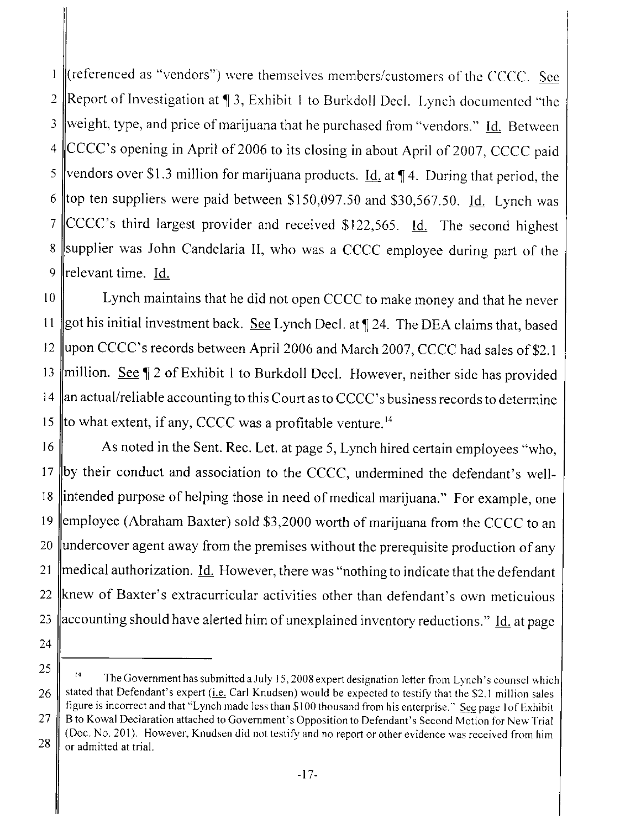$\parallel$  (referenced as "vendors") were themselves members/customers of the CCCC. See  $\mathbf{l}$ 2 Report of Investigation at  $\P$  3, Exhibit 1 to Burkdoll Decl. Lynch documented "the 3 weight, type, and price of marijuana that he purchased from "vendors." Id. Between  $4$  CCCC's opening in April of 2006 to its closing in about April of 2007, CCCC paid 5 vendors over \$1.3 million for marijuana products. <u>Id.</u> at  $\P$  4. During that period, the 6 top ten suppliers were paid between \$150,097.50 and \$30,567.50. Id. Lynch was 7 CCCC's third largest provider and received \$122,565. Id. The second highest 8 Supplier was John Candelaria II, who was a CCCC employee during part of the 9  $\parallel$ relevant time. Id.

10 Lynch maintains that he did not open CCCC to make money and that he never 11 got his initial investment back. See Lynch Decl. at  $\parallel$  24. The DEA claims that, based 12 upon CCCC's records between April 2006 and March 2007, CCCC had sales of \$2.1 13  $\parallel$ million. See  $\parallel$  2 of Exhibit 1 to Burkdoll Decl. However, neither side has provided 14  $\|$ an actual/reliable accounting to this Court as to CCCC's business records to determine 15 || to what extent, if any, CCCC was a profitable venture.  $14$ 

16 As noted in the Sent. Rec. Let. at page 5, Lynch hired certain employees "who, 17 |by their conduct and association to the CCCC, undermined the defendant's well-18 lintended purpose of helping those in need of medical marijuana." For example, one 19 employee (Abraham Baxter) sold \$3,2000 worth of marijuana from the CCCC to an  $20 \parallel$  undercover agent away from the premises without the prerequisite production of any 21  $\parallel$  medical authorization. Id. However, there was "nothing to indicate that the defendant 22  $\|$ knew of Baxter's extracurricular activities other than defendant's own meticulous 23  $\parallel$  accounting should have alerted him of unexplained inventory reductions." Id. at page

<sup>25</sup> 26 27 28  $14$  The Government has submitted a July 15, 2008 expert designation letter from Lynch's counsel which stated that Defendant's expert ( $\text{i.e.}$  Carl Knudsen) would be expected to testify that the \$2.1 million sales figure is incorrect and that "Lynch made less than \$ i 00 thousand from his enterprise." See page i of Exhibit B to Kowal Declaration attached to Government's Opposition to Defendant's Second Motion for New Trial (Doc. No. 201). However, Knudsen did not testify and no report or other evidence was received from him or admitted at triaL.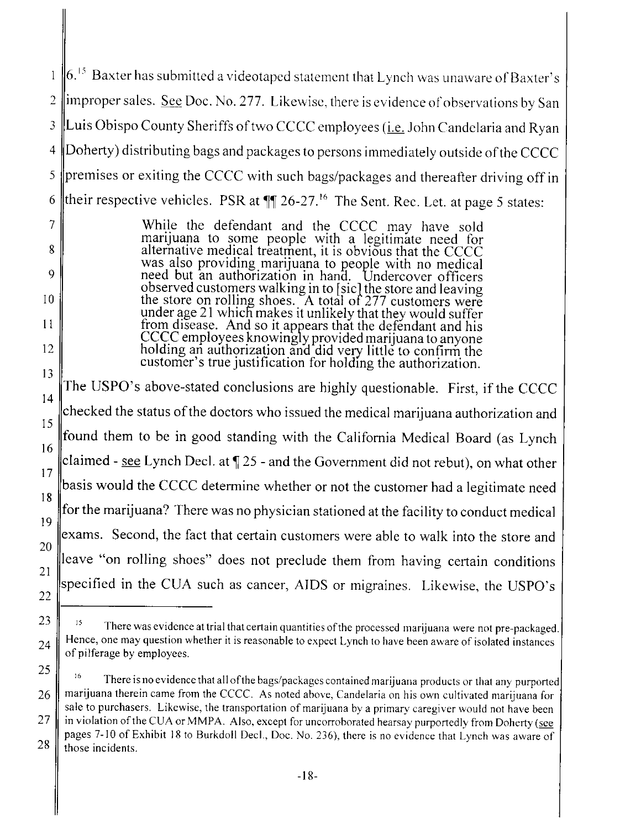$|6.^{15}$  Baxter has submitted a videotaped statement that Lynch was unaware of Baxter's  $\mathbf{1}$ 2  $\parallel$  improper sales. See Doc. No. 277. Likewise, there is evidence of observations by San 3 Luis Obispo County Sheriffs of two CCCC employees (*i.e.* John Candelaria and Ryan 4 Doherty) distributing bags and packages to persons immediately outside of the CCCC  $\frac{1}{5}$  premises or exiting the CCCC with such bags/packages and thereafter driving off in 6 their respective vehicles. PSR at  $\mathbb{Z}$  26-27.<sup>16</sup> The Sent. Rec. Let. at page 5 states:

> While the defendant and the CCCC may have sold marijuana to some people with a legitimate need for alternative medical treatment, it is obvious that the CCCC was also providing marijuana to people with no medical need but an authorization in hand. Undercover officers observed customers walking in to [sic] the store and leaving the store on rolling shoes. A total of 277 customers were under age 21 which makes it unlikely that they would suffer from disease. And so it appears that the defendant and his CCCC employees knowingly provided marijuana to anyone holding an authorization and did very little to confirm the customer's true justification for holding the authorization.

7

8

9

10

11

12

13

14 15 The USPO's above-stated conclusions are highly questionable. First, if the CCCC checked the status of the doctors who issued the medical marijuana authorization and found them to be in good standing with the California Medical Board (as Lynch 16 claimed - see Lynch Decl. at  $\P$  25 - and the Government did not rebut), on what other 17 basis would the CCCC determine whether or not the customer had a legitimate need 18 for the marijuana? There was no physician stationed at the facility to conduct medical 19 20 21 exams. Second, the fact that certain customers were able to walk into the store and leave "on rolling shoes" does not preclude them from having certain conditions specified in the CUA such as cancer, AIDS or migraines. Likewise, the USPO's 22

 $23 \parallel$  <sup>15</sup> There was evidence at trial that certain quantities of the processed marijuana were not pre-packaged. Hence, one may question whether it is reasonable to expect Lynch to have been aware of isolated instances  $24 \parallel$  defineration when may question w

<sup>25</sup> 26 27 There is no evidence that all of the bags/packages contained marijuana products or that any purported marijuana therein came from the CCCC. As noted above, Candelaria on his own cultivated marijuana for sale to purchasers. Likewise, the transportation of marijuana by a primary caregiver would not have becn in violation of the CUA or MMPA. Also, except for uncorroborated hearsay purportedly from Doherty (see pages 7-10 of Exhibit 18 to Burkdoll Decl., Doc. No. 236), there is no evidence that Lynch was aware of  $28$   $\parallel$  those incidents.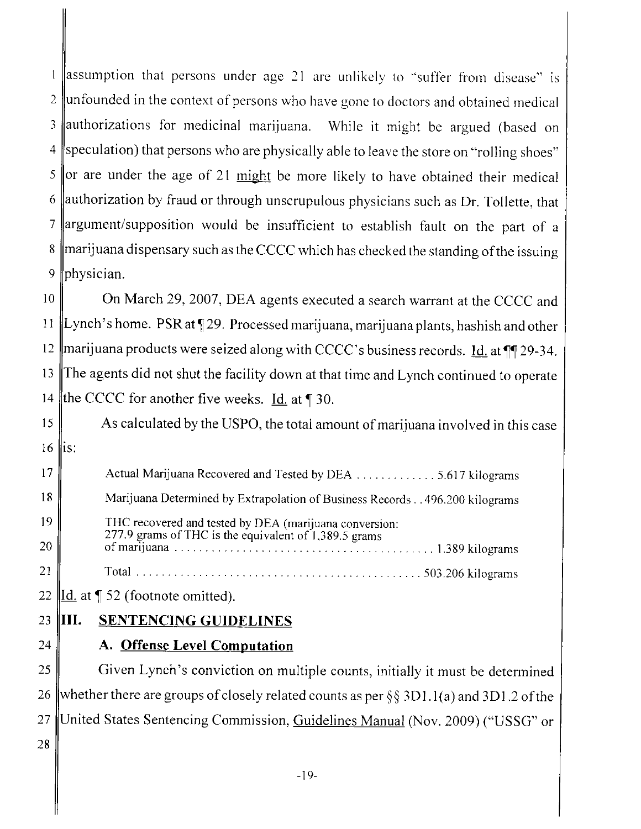$\parallel$ assumption that persons under age 21 are unlikely to "suffer from disease" is  $\mathbf{1}$ 2 unfounded in the context of persons who have gone to doctors and obtained medical 3 authorizations for medicinal marijuana. While it might be argued (based on 4 speculation) that persons who are physically able to leave the store on "rolling shoes" 5 or are under the age of 21 might be more likely to have obtained their medical  $6$  authorization by fraud or through unscrupulous physicians such as Dr. Tollette, that 7 argument/supposition would be insufficient to establish fault on the part of a 8 ||marijuana dispensary such as the CCCC which has checked the standing of the issuing 9 physician.

10 On March 29, 2007, DEA agents executed a search warrant at the CCCC and 11 |Lynch's home. PSR at  $\sqrt{29}$ . Processed marijuana, marijuana plants, hashish and other 12 | marijuana products were seized along with CCCC's business records. Id. at  $\P$ [129-34. 13 The agents did not shut the facility down at that time and Lynch continued to operate 14 the CCCC for another five weeks. Id. at  $\parallel$  30.

15 As calculated by the USPO, the total amount of marijuana involved in this case  $16$  || $is$ :

17 | Actual Marijuana Recovered and Tested by DEA . . . . . . . . . . . . . . 5.617 kilograms 18 Marijuana Determined by Extrapolation of Business Records. . 496.200 kilograms 19 THC recovered and tested by DEA (marijuana conversion: 277.9 grams of THC is the equivalent of  $1,389.5$  grams 20 of marijuana . . . . . . . . .. . . . . . . . . . . . . . . . . . . . . . . . . . . . . .. . . 1.89 kilograms 21 Total. . . . . . . . . . . . . . . . . . . . . . . . . . . . . . . . . . . . . . . . . . . . . . 503.206 kilograms

22  $\parallel$ Id. at  $\parallel$  52 (footnote omitted).

## 23 III. SENTENCING GUIDELINES

 $24$   $\parallel$  A. Offense Level Computation

 $25$  Given Lynch's conviction on multiple counts, initially it must be determined 26 whether there are groups of closely related counts as per §§ 3D1.1(a) and 3D1.2 of the 27 United States Sentencing Commission, Guidelines Manual (Nov. 2009) ("USSG" or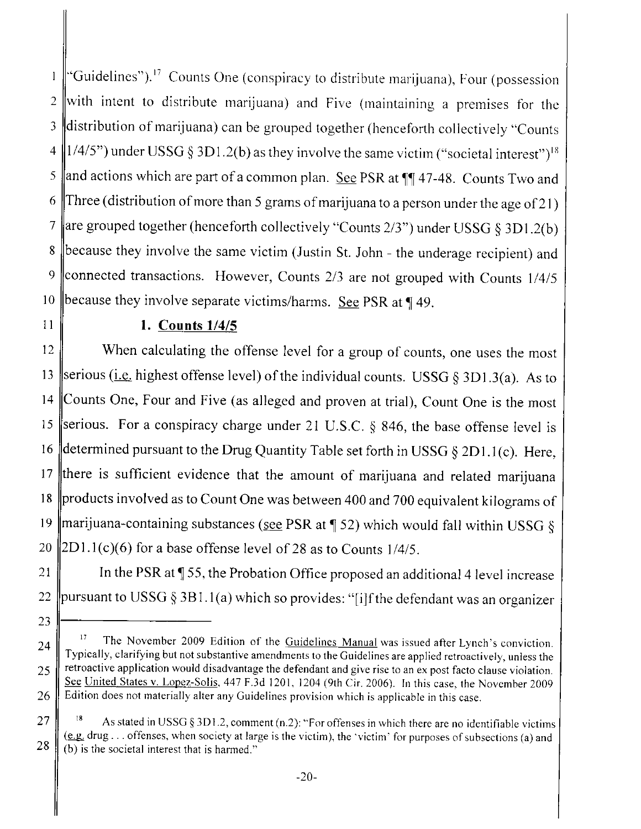"Guidelines").<sup>17</sup> Counts One (conspiracy to distribute marijuana), Four (possession  $\mathbf{l}$ 2 with intent to distribute marijuana) and Five (maintaining a premises for the 3 distribution of marijuana) can be grouped together (henceforth collectively "Counts 4  $\parallel$  1/4/5") under USSG § 3D1.2(b) as they involve the same victim ("societal interest")<sup>18</sup> 5 and actions which are part of a common plan. See PSR at  $\P$  47-48. Counts Two and 6 Three (distribution of more than 5 grams of marijuana to a person under the age of 21) 7 are grouped together (henceforth collectively "Counts  $2/3$ ") under USSG § 3D1.2(b) 8 because they involve the same victim (Justin St. John - the underage recipient) and 9 connected transactions. However, Counts  $2/3$  are not grouped with Counts  $1/4/5$ 10 because they involve separate victims/harms. See PSR at  $\P$  49.

23

24

25

26

27

28

### 11 ||  $1.$  Counts  $1/4/5$

12 When calculating the offense level for a group of counts, one uses the most 13 Serious (i.e. highest offense level) of the individual counts. USSG § 3D1.3(a). As to 14 Counts One, Four and Five (as alleged and proven at trial), Count One is the most 15 serious. For a conspiracy charge under 21 U.S.C. § 846, the base offense level is 16 determined pursuant to the Drug Quantity Table set forth in USSG  $\S 2D1.1(c)$ . Here, 17 there is sufficient evidence that the amount of marijuana and related marijuana 18 products involved as to Count One was between 400 and 700 equivalent kilograms of 19 marijuana-containing substances (see PSR at  $\parallel$  52) which would fall within USSG § 20  $\|2D1.1(c)(6)$  for a base offense level of 28 as to Counts 1/4/5.

21  $\parallel$  In the PSR at  $\P$  55, the Probation Office proposed an additional 4 level increase 22 ||pursuant to USSG § 3B1.1(a) which so provides: "[i]f the defendant was an organizer

The November 2009 Edition of the Guidelines Manual was issued after Lynch's conviction. Typically, clarifying but not substantive amendments to the Guidelines are applied retroactively, unless the retroactive application would disadvantage the defendant and give rise to an ex post facto clause violation. See United States v. Lopez-Solis. 447 F.3d 1201, 1204 (9th Cir. 2006). In this case, the Novcmber 2009 Edition does not materially alter any Guidelines provision which is applieable in this case.

<sup>18</sup> As stated in USSG § 3D! .2, comment (n.2): "For offenses in which there are no identifiable victims (e.g. drug... offenses, when society at large is the victim), the 'victim' for purposes of subsections (a) and (b) is the societal interest that is harmed."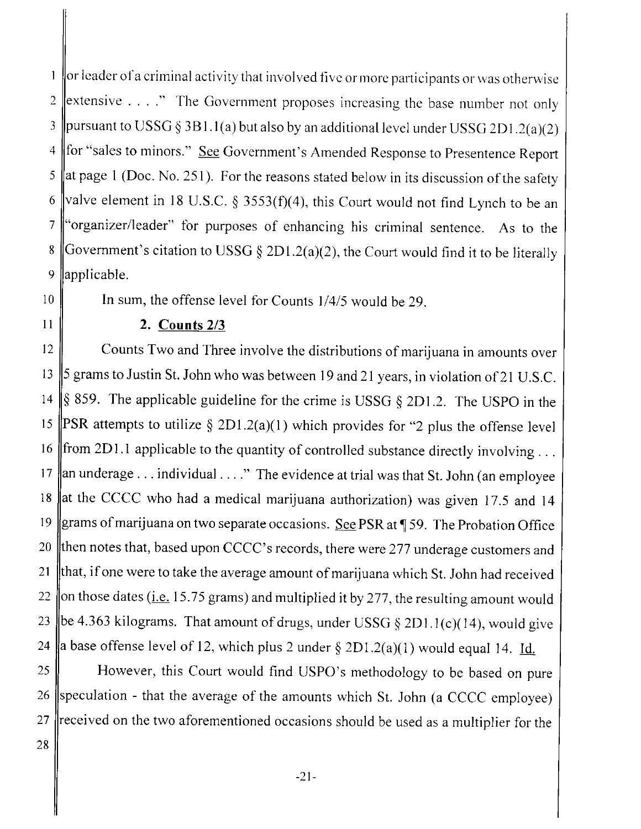$\frac{1}{2}$  or leader of a criminal activity that involved five or more participants or was otherwise 2 extensive  $\dots$  ." The Government proposes increasing the base number not only 3 | pursuant to USSG § 3B1.1(a) but also by an additional level under USSG 2D1.2(a)(2) 4 for "sales to minors." See Government's Amended Response to Presentence Report 5 at page 1 (Doc. No. 251). For the reasons stated below in its discussion of the safety 6 valve element in 18 U.S.C. § 3553(f)(4), this Court would not find Lynch to be an 7 "organizer/leader" for purposes of enhancing his criminal sentence. As to the 8 Government's citation to USSG § 2D1.2(a)(2), the Court would find it to be literally 9 ||applicable.

10 || In sum, the offense level for Counts 1/4/5 would be 29.

#### 11 |  $2.$  Counts 2/3

12 Counts Two and Three involve the distributions of marijuana in amounts over 13  $\parallel$  5 grams to Justin St. John who was between 19 and 21 years, in violation of 21 U.S.C. 14  $\|\$ § 859. The applicable guideline for the crime is USSG § 2D1.2. The USPO in the 15 PSR attempts to utilize  $\S 2D1.2(a)(1)$  which provides for "2 plus the offense level 16 ||from 2D1.1 applicable to the quantity of controlled substance directly involving... 17 an underage... individual...." The evidence at trial was that St. John (an employee 18 at the CCCC who had a medical marijuana authorization) was given 17.5 and 14 19 grams of marijuana on two separate occasions. See PSR at  $\P$  59. The Probation Office 20  $\parallel$ then notes that, based upon CCCC's records, there were 277 underage customers and 21  $\|$ that, if one were to take the average amount of marijuana which St. John had received 22 on those dates (*i.e.* 15.75 grams) and multiplied it by 277, the resulting amount would 23 be 4.363 kilograms. That amount of drugs, under USSG § 2D1.1(c)(14), would give 24 a base offense level of 12, which plus 2 under  $\S 2D1.2(a)(1)$  would equal 14. Id.

25 However, this Court would find USPO's methodology to be based on pure 26 speculation - that the average of the amounts which St. John (a CCCC employee)  $27$  received on the two aforementioned occasions should be used as a multiplier for the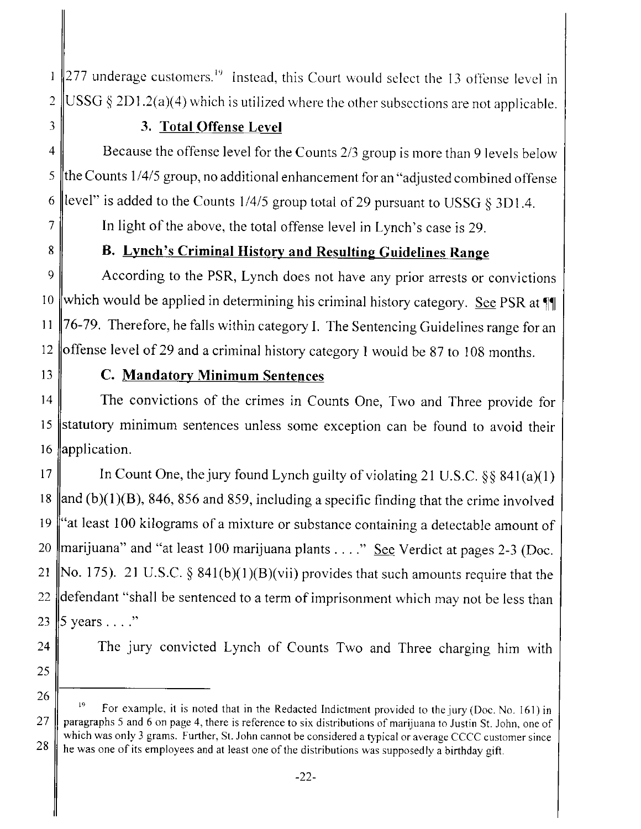$\|$ 277 underage customers.<sup>19</sup> Instead, this Court would select the 13 offense level in  $\mathbf{1}$ 2  $\parallel$  USSG § 2D1.2(a)(4) which is utilized where the other subsections are not applicable.

## 3 3. Total Offense Level

4 Because the offense level for the Counts 2/3 group is more than 9 levels below 5 the Counts  $1/4/5$  group, no additional enhancement for an "adjusted combined offense 6 level" is added to the Counts  $1/4/5$  group total of 29 pursuant to USSG § 3D1.4.

 $7 \parallel$  In light of the above, the total offense level in Lynch's case is 29.

## 8 B. Lynch's Criminal History and Resulting Guidelines Range

9 According to the PSR, Lynch does not have any prior arrests or convictions 10 which would be applied in determining his criminal history category. See PSR at  $\P$ 11  $\|$ 76-79. Therefore, he falls within category I. The Sentencing Guidelines range for an 12 offense level of 29 and a criminal history category I would be 87 to 108 months.

### 13 **C. Mandatory Minimum Sentences**

14 The convictions of the crimes in Counts One, Two and Three provide for 15 statutory minimum sentences unless some exception can be found to avoid their 16 application.

17 In Count One, the jury found Lynch guilty of violating 21 U.S.C.  $\S\S 841(a)(1)$ 18  $\parallel$ and (b)(1)(B), 846, 856 and 859, including a specific finding that the crime involved 19 "at least 100 kilograms of a mixture or substance containing a detectable amount of 20 marijuana" and "at least 100 marijuana plants  $\dots$ " See Verdict at pages 2-3 (Doc. 21 No. 175). 21 U.S.C. § 841(b)(1)(B)(vii) provides that such amounts require that the 22  $\parallel$  defendant "shall be sentenced to a term of imprisonment which may not be less than 23  $\vert$ 5 years . . . ."

24 The jury convicted Lynch of Counts Two and Three charging him with

 $\frac{26}{1}$  <sup>19</sup> For example, it is noted that in the Redacted Indictment provided to the jury (Doc. No. 161) in 27 | paragraphs 5 and 6 on page 4, there is reference to six distributions of marijuana to Justin St. John, one of which was only 3 grams. Further, St. John cannot be considered a typical or average CCCC customer since 28 he was one of its employees and at least one of the distributions was supposedly a birthday gift.